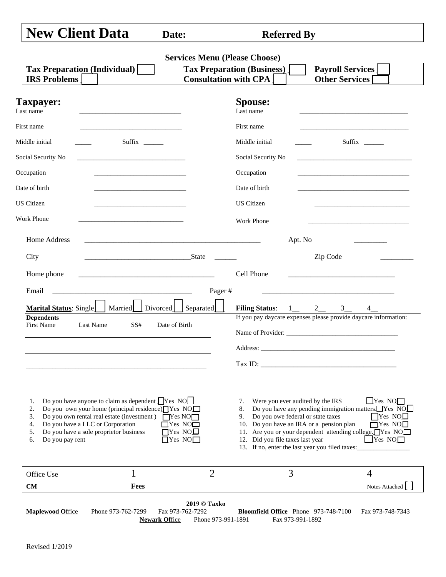|  |  | <b>New Client Data</b> |  |
|--|--|------------------------|--|
|--|--|------------------------|--|

**Referred By** 

| <b>Tax Preparation (Individual)</b><br><b>IRS Problems</b>                                                                                                                                                                                                                                                          | <b>Tax Preparation (Business)</b><br><b>Consultation with CPA</b>                |                                                                                                                                                                                                             | <b>Payroll Services</b><br><b>Other Services</b>                                                                                                                                                                            |
|---------------------------------------------------------------------------------------------------------------------------------------------------------------------------------------------------------------------------------------------------------------------------------------------------------------------|----------------------------------------------------------------------------------|-------------------------------------------------------------------------------------------------------------------------------------------------------------------------------------------------------------|-----------------------------------------------------------------------------------------------------------------------------------------------------------------------------------------------------------------------------|
| <b>Taxpayer:</b><br>Last name                                                                                                                                                                                                                                                                                       | <b>Spouse:</b><br>Last name                                                      |                                                                                                                                                                                                             |                                                                                                                                                                                                                             |
| First name<br><u> 1989 - Johann Stein, mars an deus Amerikaansk kommunister (</u>                                                                                                                                                                                                                                   | First name                                                                       |                                                                                                                                                                                                             |                                                                                                                                                                                                                             |
| Middle initial                                                                                                                                                                                                                                                                                                      | Middle initial                                                                   |                                                                                                                                                                                                             | Suffix $\frac{1}{\sqrt{2}}$                                                                                                                                                                                                 |
| Social Security No<br><u> 1989 - Johann Barn, mars ann an t-Amhain ann an t-Amhain an t-Amhain an t-Amhain an t-Amhain an t-Amhain an t-</u>                                                                                                                                                                        |                                                                                  | Social Security No                                                                                                                                                                                          | the control of the control of the control of the control of the control of                                                                                                                                                  |
| Occupation<br>the control of the control of the control of the control of the control of                                                                                                                                                                                                                            | Occupation                                                                       |                                                                                                                                                                                                             | <u> 1989 - Johann Stein, marwolaethau a bhann an t-Amhain an t-Amhain an t-Amhain an t-Amhain an t-Amhain an t-A</u>                                                                                                        |
| Date of birth                                                                                                                                                                                                                                                                                                       | Date of birth                                                                    |                                                                                                                                                                                                             |                                                                                                                                                                                                                             |
| <b>US Citizen</b>                                                                                                                                                                                                                                                                                                   | <b>US</b> Citizen                                                                |                                                                                                                                                                                                             |                                                                                                                                                                                                                             |
| Work Phone<br>the control of the control of the control of the control of the control of                                                                                                                                                                                                                            | <b>Work Phone</b>                                                                |                                                                                                                                                                                                             |                                                                                                                                                                                                                             |
| Home Address                                                                                                                                                                                                                                                                                                        |                                                                                  | Apt. No                                                                                                                                                                                                     |                                                                                                                                                                                                                             |
| City<br>State                                                                                                                                                                                                                                                                                                       |                                                                                  |                                                                                                                                                                                                             | Zip Code                                                                                                                                                                                                                    |
| Home phone                                                                                                                                                                                                                                                                                                          | Cell Phone                                                                       |                                                                                                                                                                                                             |                                                                                                                                                                                                                             |
| Email                                                                                                                                                                                                                                                                                                               | Pager#                                                                           |                                                                                                                                                                                                             |                                                                                                                                                                                                                             |
|                                                                                                                                                                                                                                                                                                                     | Separated]                                                                       |                                                                                                                                                                                                             |                                                                                                                                                                                                                             |
| Marital Status: Single   Married   Divorced<br><b>Dependents</b>                                                                                                                                                                                                                                                    |                                                                                  | Filing Status: $1 \_ 2 \_ 3 \_$                                                                                                                                                                             | 4<br>If you pay daycare expenses please provide daycare information:                                                                                                                                                        |
| <b>First Name</b><br>Last Name<br>SS#                                                                                                                                                                                                                                                                               | Date of Birth                                                                    |                                                                                                                                                                                                             |                                                                                                                                                                                                                             |
|                                                                                                                                                                                                                                                                                                                     |                                                                                  |                                                                                                                                                                                                             |                                                                                                                                                                                                                             |
|                                                                                                                                                                                                                                                                                                                     |                                                                                  |                                                                                                                                                                                                             |                                                                                                                                                                                                                             |
|                                                                                                                                                                                                                                                                                                                     |                                                                                  |                                                                                                                                                                                                             |                                                                                                                                                                                                                             |
| Do you have anyone to claim as dependent $\Box$ Yes NO<br>1.<br>Do you own your home (principal residence) Yes NO<br>2.<br>Do you own rental real estate (investment) $\Box$ Yes NO $\Box$<br>3.<br>Do you have a LLC or Corporation<br>4.<br>Do you have a sole proprietor business<br>5.<br>Do you pay rent<br>6. | 7.<br>8.<br>$\Box$ Yes NO $\Box$<br>$\Box$ Yes NO $\Box$<br>$\Box$ Yes NO $\Box$ | Were you ever audited by the IRS<br>9. Do you owe federal or state taxes<br>10. Do you have an IRA or a pension plan<br>12. Did you file taxes last year<br>13. If no, enter the last year you filed taxes: | $\Box$ Yes NO $\Box$<br>Do you have any pending immigration matters. Yes NO<br>$\Box$ Yes NO $\Box$<br>$\overline{\Box}$ Yes NO $\Box$<br>11. Are you or your dependent attending college. TYes NOT<br>$\Box$ Yes NO $\Box$ |
| $\mathbf 1$<br>Office Use                                                                                                                                                                                                                                                                                           | $\overline{2}$                                                                   | 3                                                                                                                                                                                                           | 4                                                                                                                                                                                                                           |
| <b>Fees</b><br><b>CM</b>                                                                                                                                                                                                                                                                                            |                                                                                  |                                                                                                                                                                                                             | Notes Attached                                                                                                                                                                                                              |